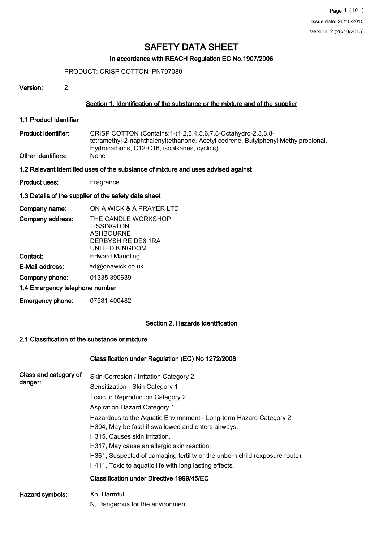# In accordance with REACH Regulation EC No.1907/2006

PRODUCT: CRISP COTTON PN797080

| Version: |  |
|----------|--|
|          |  |

# Section 1. Identification of the substance or the mixture and of the supplier

1.1 Product Identifier

CRISP COTTON (Contains:1-(1,2,3,4,5,6,7,8-Octahydro-2,3,8,8 tetramethyl-2-naphthalenyl)ethanone, Acetyl cedrene, Butylphenyl Methylpropional, Hydrocarbons, C12-C16, isoalkanes, cyclics) Product identifier: Other identifiers: None

1.2 Relevant identified uses of the substance of mixture and uses advised against

Product uses: Fragrance

#### 1.3 Details of the supplier of the safety data sheet

| Company name:                  | ON A WICK & A PRAYER LTD                                                                             |
|--------------------------------|------------------------------------------------------------------------------------------------------|
| Company address:               | THE CANDLE WORKSHOP<br><b>TISSINGTON</b><br><b>ASHBOURNE</b><br>DERBYSHIRE DE6 1RA<br>UNITED KINGDOM |
| Contact:                       | <b>Edward Maudling</b>                                                                               |
| E-Mail address:                | ed@onawick.co.uk                                                                                     |
| Company phone:                 | 01335 390639                                                                                         |
| 1.4 Emergency telephone number |                                                                                                      |
|                                |                                                                                                      |

# Emergency phone: 07581 400482

# Section 2. Hazards identification

#### 2.1 Classification of the substance or mixture

# Classification under Regulation (EC) No 1272/2008

| Class and category of<br>danger: | Skin Corrosion / Irritation Category 2<br>Sensitization - Skin Category 1<br>Toxic to Reproduction Category 2<br><b>Aspiration Hazard Category 1</b><br>Hazardous to the Aquatic Environment - Long-term Hazard Category 2<br>H304, May be fatal if swallowed and enters airways.<br>H315, Causes skin irritation.<br>H317, May cause an allergic skin reaction.<br>H361, Suspected of damaging fertility or the unborn child (exposure route).<br>H411, Toxic to aguatic life with long lasting effects.<br>Classification under Directive 1999/45/EC |
|----------------------------------|--------------------------------------------------------------------------------------------------------------------------------------------------------------------------------------------------------------------------------------------------------------------------------------------------------------------------------------------------------------------------------------------------------------------------------------------------------------------------------------------------------------------------------------------------------|
| Hazard symbols:                  | Xn, Harmful.<br>N, Dangerous for the environment.                                                                                                                                                                                                                                                                                                                                                                                                                                                                                                      |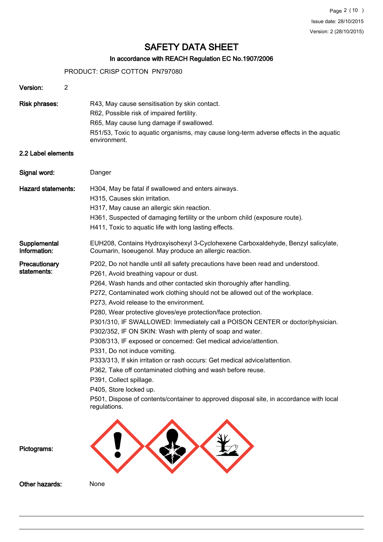# In accordance with REACH Regulation EC No.1907/2006

PRODUCT: CRISP COTTON PN797080

| Version:<br>2                |                                                                                                                                                                                                                                                                                                                                                                                                                                                                                                                                                                                                                                                                                                                                                                                                                                                                                                                                                             |
|------------------------------|-------------------------------------------------------------------------------------------------------------------------------------------------------------------------------------------------------------------------------------------------------------------------------------------------------------------------------------------------------------------------------------------------------------------------------------------------------------------------------------------------------------------------------------------------------------------------------------------------------------------------------------------------------------------------------------------------------------------------------------------------------------------------------------------------------------------------------------------------------------------------------------------------------------------------------------------------------------|
| <b>Risk phrases:</b>         | R43, May cause sensitisation by skin contact.<br>R62, Possible risk of impaired fertility.<br>R65, May cause lung damage if swallowed.<br>R51/53, Toxic to aquatic organisms, may cause long-term adverse effects in the aquatic<br>environment.                                                                                                                                                                                                                                                                                                                                                                                                                                                                                                                                                                                                                                                                                                            |
| 2.2 Label elements           |                                                                                                                                                                                                                                                                                                                                                                                                                                                                                                                                                                                                                                                                                                                                                                                                                                                                                                                                                             |
| Signal word:                 | Danger                                                                                                                                                                                                                                                                                                                                                                                                                                                                                                                                                                                                                                                                                                                                                                                                                                                                                                                                                      |
| <b>Hazard statements:</b>    | H304, May be fatal if swallowed and enters airways.<br>H315, Causes skin irritation.<br>H317, May cause an allergic skin reaction.<br>H361, Suspected of damaging fertility or the unborn child (exposure route).<br>H411, Toxic to aquatic life with long lasting effects.                                                                                                                                                                                                                                                                                                                                                                                                                                                                                                                                                                                                                                                                                 |
| Supplemental<br>Information: | EUH208, Contains Hydroxyisohexyl 3-Cyclohexene Carboxaldehyde, Benzyl salicylate,<br>Coumarin, Isoeugenol. May produce an allergic reaction.                                                                                                                                                                                                                                                                                                                                                                                                                                                                                                                                                                                                                                                                                                                                                                                                                |
| Precautionary<br>statements: | P202, Do not handle until all safety precautions have been read and understood.<br>P261, Avoid breathing vapour or dust.<br>P264, Wash hands and other contacted skin thoroughly after handling.<br>P272, Contaminated work clothing should not be allowed out of the workplace.<br>P273, Avoid release to the environment.<br>P280, Wear protective gloves/eye protection/face protection.<br>P301/310, IF SWALLOWED: Immediately call a POISON CENTER or doctor/physician.<br>P302/352, IF ON SKIN: Wash with plenty of soap and water.<br>P308/313, IF exposed or concerned: Get medical advice/attention.<br>P331, Do not induce vomiting.<br>P333/313, If skin irritation or rash occurs: Get medical advice/attention.<br>P362, Take off contaminated clothing and wash before reuse.<br>P391, Collect spillage.<br>P405, Store locked up.<br>P501, Dispose of contents/container to approved disposal site, in accordance with local<br>regulations. |
| Pictograms:                  |                                                                                                                                                                                                                                                                                                                                                                                                                                                                                                                                                                                                                                                                                                                                                                                                                                                                                                                                                             |
| Other hazards:               | None                                                                                                                                                                                                                                                                                                                                                                                                                                                                                                                                                                                                                                                                                                                                                                                                                                                                                                                                                        |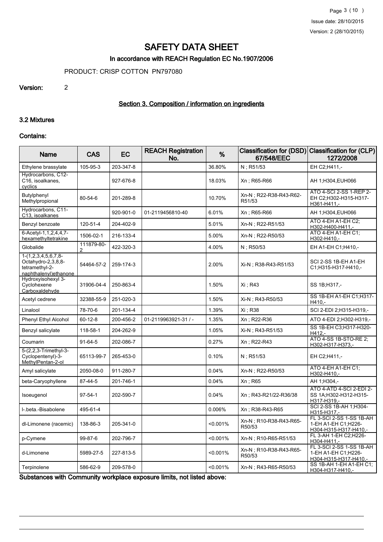# In accordance with REACH Regulation EC No.1907/2006

PRODUCT: CRISP COTTON PN797080

#### Version: 2

# Section 3. Composition / information on ingredients

#### 3.2 Mixtures

#### Contains:

| <b>Name</b>                                                                                    | <b>CAS</b>                   | <b>EC</b> | <b>REACH Registration</b><br>No. | %        | 67/548/EEC                        | Classification for (DSD) Classification for (CLP)<br>1272/2008           |
|------------------------------------------------------------------------------------------------|------------------------------|-----------|----------------------------------|----------|-----------------------------------|--------------------------------------------------------------------------|
| Ethylene brassylate                                                                            | 105-95-3                     | 203-347-8 |                                  | 36.80%   | N: R51/53                         | EH C2:H411,-                                                             |
| Hydrocarbons, C12-<br>C16, isoalkanes,<br>cyclics                                              |                              | 927-676-8 |                                  | 18.03%   | Xn; R65-R66                       | AH 1;H304,EUH066                                                         |
| Butylphenyl<br>Methylpropional                                                                 | 80-54-6                      | 201-289-8 |                                  | 10.70%   | Xn-N : R22-R38-R43-R62-<br>R51/53 | ATO 4-SCI 2-SS 1-REP 2-<br>EH C2;H302-H315-H317-<br>H361-H411,-          |
| Hydrocarbons, C11-<br>C13, isoalkanes                                                          |                              | 920-901-0 | 01-2119456810-40                 | 6.01%    | Xn; R65-R66                       | AH 1;H304,EUH066                                                         |
| Benzyl benzoate                                                                                | 120-51-4                     | 204-402-9 |                                  | 5.01%    | Xn-N ; R22-R51/53                 | ATO 4-EH A1-EH C2;<br>H302-H400-H411 -                                   |
| 6-Acetyl-1,1,2,4,4,7-<br>hexamethyltetrakine                                                   | 1506-02-1                    | 216-133-4 |                                  | 5.00%    | Xn-N; R22-R50/53                  | ATO 4-EH A1-EH C1;<br>H302-H410,-                                        |
| Globalide                                                                                      | 111879-80-<br>$\mathfrak{p}$ | 422-320-3 |                                  | 4.00%    | $N$ ; R50/53                      | EH A1-EH C1; H410,-                                                      |
| $1-(1, 2, 3, 4, 5, 6, 7, 8-$<br>Octahydro-2,3,8,8-<br>tetramethyl-2-<br>naphthalenyl) ethanone | 54464-57-2                   | 259-174-3 |                                  | 2.00%    | Xi-N : R38-R43-R51/53             | SCI 2-SS 1B-EH A1-EH<br>C1;H315-H317-H410,-                              |
| Hydroxyisohexyl 3-<br>Cyclohexene<br>Carboxaldehyde                                            | 31906-04-4                   | 250-863-4 |                                  | 1.50%    | Xi : R43                          | SS 1B:H317,-                                                             |
| Acetyl cedrene                                                                                 | 32388-55-9                   | 251-020-3 |                                  | 1.50%    | Xi-N ; R43-R50/53                 | SS 1B-EH A1-EH C1;H317-<br>H410,-                                        |
| Linalool                                                                                       | 78-70-6                      | 201-134-4 |                                  | 1.39%    | Xi : R38                          | SCI 2-EDI 2;H315-H319,-                                                  |
| Phenyl Ethyl Alcohol                                                                           | $60 - 12 - 8$                | 200-456-2 | 01-2119963921-31 / -             | 1.35%    | Xn; R22-R36                       | ATO 4-EDI 2; H302-H319,-                                                 |
| Benzyl salicylate                                                                              | 118-58-1                     | 204-262-9 |                                  | 1.05%    | Xi-N; R43-R51/53                  | SS 1B-EH C3;H317-H320-<br>H412.-                                         |
| Coumarin                                                                                       | $91-64-5$                    | 202-086-7 |                                  | 0.27%    | Xn; R22-R43                       | ATO 4-SS 1B-STO-RE 2;<br>H302-H317-H373,-                                |
| 5-(2,2,3-Trimethyl-3-<br>Cyclopentenyl)-3-<br>MethylPentan-2-ol                                | 65113-99-7                   | 265-453-0 |                                  | 0.10%    | $N$ ; R51/53                      | EH C2;H411,-                                                             |
| Amyl salicylate                                                                                | 2050-08-0                    | 911-280-7 |                                  | 0.04%    | Xn-N; R22-R50/53                  | ATO 4-EH A1-EH C1;<br>H302-H410,-                                        |
| beta-Caryophyllene                                                                             | 87-44-5                      | 201-746-1 |                                  | 0.04%    | Xn; R65                           | AH 1:H304,-                                                              |
| Isoeugenol                                                                                     | $97 - 54 - 1$                | 202-590-7 |                                  | 0.04%    | Xn; R43-R21/22-R36/38             | ATO 4-ATD 4-SCI 2-EDI 2-<br>SS 1A;H302-H312-H315-<br>H317-H319,-         |
| I-.beta.-Bisabolene                                                                            | 495-61-4                     |           |                                  | 0.006%   | Xn; R38-R43-R65                   | SCI 2-SS 1B-AH 1; H304-<br>H315-H317.-                                   |
| dl-Limonene (racemic)                                                                          | 138-86-3                     | 205-341-0 |                                  | < 0.001% | Xn-N : R10-R38-R43-R65-<br>R50/53 | FL 3-SCI 2-SS 1-SS 1B-AH<br>1-EH A1-EH C1;H226-<br>H304-H315-H317-H410,- |
| p-Cymene                                                                                       | 99-87-6                      | 202-796-7 |                                  | < 0.001% | Xn-N ; R10-R65-R51/53             | FL 3-AH 1-EH C2;H226-<br>H304-H411 .-                                    |
| d-Limonene                                                                                     | 5989-27-5                    | 227-813-5 |                                  | < 0.001% | Xn-N; R10-R38-R43-R65-<br>R50/53  | FL 3-SCI 2-SS 1-SS 1B-AH<br>1-EH A1-EH C1;H226-<br>H304-H315-H317-H410,- |
| Terpinolene                                                                                    | 586-62-9                     | 209-578-0 |                                  | < 0.001% | Xn-N ; R43-R65-R50/53             | SS 1B-AH 1-EH A1-EH C1;<br>H304-H317-H410,-                              |

Substances with Community workplace exposure limits, not listed above: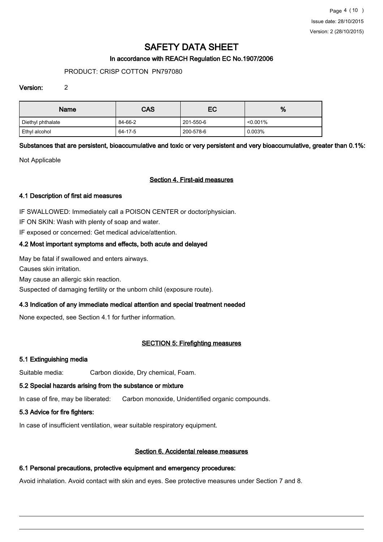# In accordance with REACH Regulation EC No.1907/2006

### PRODUCT: CRISP COTTON PN797080

#### Version: 2

| <b>Name</b>       | <b>CAS</b> | EC        | %           |
|-------------------|------------|-----------|-------------|
| Diethyl phthalate | 84-66-2    | 201-550-6 | $< 0.001\%$ |
| Ethyl alcohol     | 64-17-5    | 200-578-6 | 0.003%      |

# Substances that are persistent, bioaccumulative and toxic or very persistent and very bioaccumulative, greater than 0.1%:

Not Applicable

#### Section 4. First-aid measures

### 4.1 Description of first aid measures

IF SWALLOWED: Immediately call a POISON CENTER or doctor/physician.

IF ON SKIN: Wash with plenty of soap and water.

IF exposed or concerned: Get medical advice/attention.

# 4.2 Most important symptoms and effects, both acute and delayed

May be fatal if swallowed and enters airways.

Causes skin irritation.

May cause an allergic skin reaction.

Suspected of damaging fertility or the unborn child (exposure route).

# 4.3 Indication of any immediate medical attention and special treatment needed

None expected, see Section 4.1 for further information.

# SECTION 5: Firefighting measures

#### 5.1 Extinguishing media

Suitable media: Carbon dioxide, Dry chemical, Foam.

#### 5.2 Special hazards arising from the substance or mixture

In case of fire, may be liberated: Carbon monoxide, Unidentified organic compounds.

# 5.3 Advice for fire fighters:

In case of insufficient ventilation, wear suitable respiratory equipment.

# Section 6. Accidental release measures

# 6.1 Personal precautions, protective equipment and emergency procedures:

Avoid inhalation. Avoid contact with skin and eyes. See protective measures under Section 7 and 8.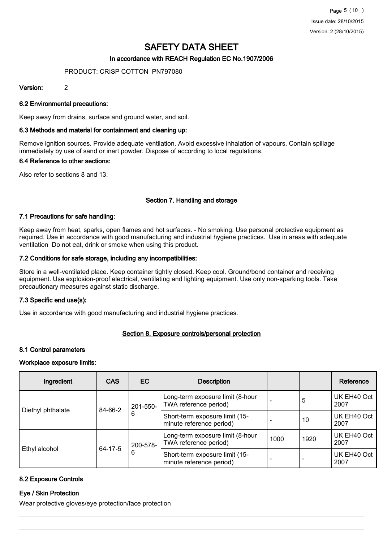### In accordance with REACH Regulation EC No.1907/2006

#### PRODUCT: CRISP COTTON PN797080

#### Version: 2

#### 6.2 Environmental precautions:

Keep away from drains, surface and ground water, and soil.

#### 6.3 Methods and material for containment and cleaning up:

Remove ignition sources. Provide adequate ventilation. Avoid excessive inhalation of vapours. Contain spillage immediately by use of sand or inert powder. Dispose of according to local regulations.

#### 6.4 Reference to other sections:

Also refer to sections 8 and 13.

# Section 7. Handling and storage

#### 7.1 Precautions for safe handling:

Keep away from heat, sparks, open flames and hot surfaces. - No smoking. Use personal protective equipment as required. Use in accordance with good manufacturing and industrial hygiene practices. Use in areas with adequate ventilation Do not eat, drink or smoke when using this product.

#### 7.2 Conditions for safe storage, including any incompatibilities:

Store in a well-ventilated place. Keep container tightly closed. Keep cool. Ground/bond container and receiving equipment. Use explosion-proof electrical, ventilating and lighting equipment. Use only non-sparking tools. Take precautionary measures against static discharge.

# 7.3 Specific end use(s):

Use in accordance with good manufacturing and industrial hygiene practices.

#### Section 8. Exposure controls/personal protection

#### 8.1 Control parameters

#### Workplace exposure limits:

| Ingredient                                | <b>CAS</b>                                                | EC                                                         | <b>Description</b>                                         |                     |                     | Reference           |
|-------------------------------------------|-----------------------------------------------------------|------------------------------------------------------------|------------------------------------------------------------|---------------------|---------------------|---------------------|
| 84-66-2<br>Diethyl phthalate<br>6         | 201-550-                                                  | Long-term exposure limit (8-hour<br>TWA reference period)  |                                                            | 5                   | UK EH40 Oct<br>2007 |                     |
|                                           |                                                           | Short-term exposure limit (15-<br>minute reference period) |                                                            | 10                  | UK EH40 Oct<br>2007 |                     |
| 200-578-<br>64-17-5<br>Ethyl alcohol<br>6 | Long-term exposure limit (8-hour<br>TWA reference period) | 1000                                                       | 1920                                                       | UK EH40 Oct<br>2007 |                     |                     |
|                                           |                                                           |                                                            | Short-term exposure limit (15-<br>minute reference period) |                     |                     | UK EH40 Oct<br>2007 |

### 8.2 Exposure Controls

# Eye / Skin Protection

Wear protective gloves/eye protection/face protection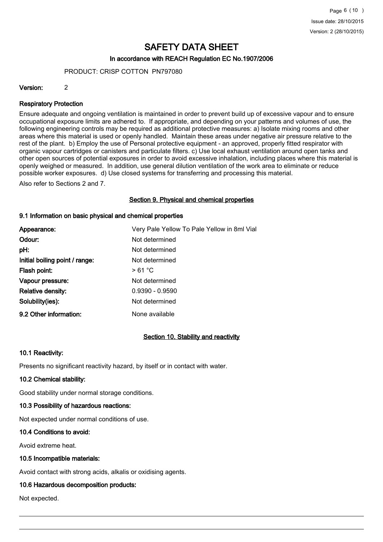#### In accordance with REACH Regulation EC No.1907/2006

PRODUCT: CRISP COTTON PN797080

#### Version: 2

#### Respiratory Protection

Ensure adequate and ongoing ventilation is maintained in order to prevent build up of excessive vapour and to ensure occupational exposure limits are adhered to. If appropriate, and depending on your patterns and volumes of use, the following engineering controls may be required as additional protective measures: a) Isolate mixing rooms and other areas where this material is used or openly handled. Maintain these areas under negative air pressure relative to the rest of the plant. b) Employ the use of Personal protective equipment - an approved, properly fitted respirator with organic vapour cartridges or canisters and particulate filters. c) Use local exhaust ventilation around open tanks and other open sources of potential exposures in order to avoid excessive inhalation, including places where this material is openly weighed or measured. In addition, use general dilution ventilation of the work area to eliminate or reduce possible worker exposures. d) Use closed systems for transferring and processing this material.

Also refer to Sections 2 and 7.

#### Section 9. Physical and chemical properties

#### 9.1 Information on basic physical and chemical properties

| Appearance:                    | Very Pale Yellow To Pale Yellow in 8ml Vial |
|--------------------------------|---------------------------------------------|
| Odour:                         | Not determined                              |
| pH:                            | Not determined                              |
| Initial boiling point / range: | Not determined                              |
| Flash point:                   | >61 °C                                      |
| Vapour pressure:               | Not determined                              |
| <b>Relative density:</b>       | $0.9390 - 0.9590$                           |
| Solubility(ies):               | Not determined                              |
| 9.2 Other information:         | None available                              |

# Section 10. Stability and reactivity

#### 10.1 Reactivity:

Presents no significant reactivity hazard, by itself or in contact with water.

#### 10.2 Chemical stability:

Good stability under normal storage conditions.

#### 10.3 Possibility of hazardous reactions:

Not expected under normal conditions of use.

#### 10.4 Conditions to avoid:

Avoid extreme heat.

#### 10.5 Incompatible materials:

Avoid contact with strong acids, alkalis or oxidising agents.

# 10.6 Hazardous decomposition products:

Not expected.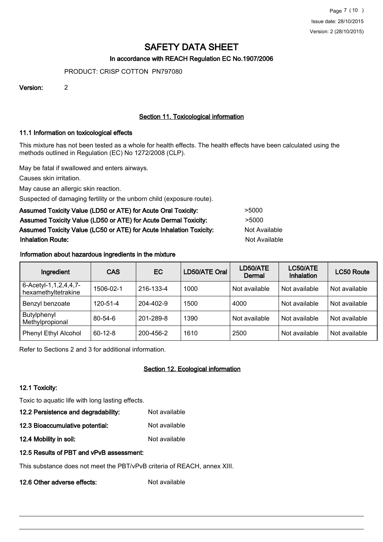### In accordance with REACH Regulation EC No.1907/2006

PRODUCT: CRISP COTTON PN797080

Version: 2

# Section 11. Toxicological information

#### 11.1 Information on toxicological effects

This mixture has not been tested as a whole for health effects. The health effects have been calculated using the methods outlined in Regulation (EC) No 1272/2008 (CLP).

May be fatal if swallowed and enters airways.

Causes skin irritation.

May cause an allergic skin reaction.

Suspected of damaging fertility or the unborn child (exposure route).

| Assumed Toxicity Value (LD50 or ATE) for Acute Oral Toxicity:       | >5000         |
|---------------------------------------------------------------------|---------------|
| Assumed Toxicity Value (LD50 or ATE) for Acute Dermal Toxicity:     | >5000         |
| Assumed Toxicity Value (LC50 or ATE) for Acute Inhalation Toxicity: | Not Available |
| <b>Inhalation Route:</b>                                            | Not Available |

# Information about hazardous ingredients in the mixture

| Ingredient                                        | <b>CAS</b>    | EC        | LD50/ATE Oral | LD50/ATE<br>Dermal | LC50/ATE<br>Inhalation | <b>LC50 Route</b> |
|---------------------------------------------------|---------------|-----------|---------------|--------------------|------------------------|-------------------|
| 6-Acetyl-1, 1, 2, 4, 4, 7-<br>hexamethyltetrakine | 1506-02-1     | 216-133-4 | 1000          | Not available      | Not available          | Not available     |
| Benzyl benzoate                                   | 120-51-4      | 204-402-9 | 1500          | 4000               | Not available          | Not available     |
| Butylphenyl<br>Methylpropional                    | $80 - 54 - 6$ | 201-289-8 | 1390          | Not available      | Not available          | Not available     |
| Phenyl Ethyl Alcohol                              | $60 - 12 - 8$ | 200-456-2 | 1610          | 2500               | Not available          | Not available     |

Refer to Sections 2 and 3 for additional information.

# Section 12. Ecological information

#### 12.1 Toxicity:

Toxic to aquatic life with long lasting effects.

12.2 Persistence and degradability: Not available

12.3 Bioaccumulative potential: Not available

12.4 Mobility in soil: Not available

#### 12.5 Results of PBT and vPvB assessment:

This substance does not meet the PBT/vPvB criteria of REACH, annex XIII.

12.6 Other adverse effects: Not available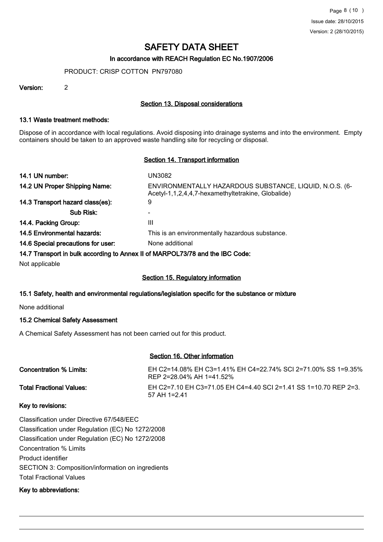### In accordance with REACH Regulation EC No.1907/2006

PRODUCT: CRISP COTTON PN797080

Version: 2

# Section 13. Disposal considerations

#### 13.1 Waste treatment methods:

Dispose of in accordance with local regulations. Avoid disposing into drainage systems and into the environment. Empty containers should be taken to an approved waste handling site for recycling or disposal.

# Section 14. Transport information

| 14.1 UN number:                    | UN3082                                                                                                        |
|------------------------------------|---------------------------------------------------------------------------------------------------------------|
| 14.2 UN Proper Shipping Name:      | ENVIRONMENTALLY HAZARDOUS SUBSTANCE, LIQUID, N.O.S. (6-<br>Acetyl-1,1,2,4,4,7-hexamethyltetrakine, Globalide) |
| 14.3 Transport hazard class(es):   | 9                                                                                                             |
| Sub Risk:                          |                                                                                                               |
| 14.4. Packing Group:               | Ш                                                                                                             |
| <b>14.5 Environmental hazards:</b> | This is an environmentally hazardous substance.                                                               |
| 14.6 Special precautions for user: | None additional                                                                                               |

#### 14.7 Transport in bulk according to Annex II of MARPOL73/78 and the IBC Code:

Not applicable

# Section 15. Regulatory information

# 15.1 Safety, health and environmental regulations/legislation specific for the substance or mixture

None additional

# 15.2 Chemical Safety Assessment

A Chemical Safety Assessment has not been carried out for this product.

# Section 16. Other information

| Concentration % Limits:         | EH C2=14.08% EH C3=1.41% EH C4=22.74% SCI 2=71.00% SS 1=9.35%<br>REP 2=28.04% AH 1=41.52% |
|---------------------------------|-------------------------------------------------------------------------------------------|
| <b>Total Fractional Values:</b> | EH C2=7.10 EH C3=71.05 EH C4=4.40 SCI 2=1.41 SS 1=10.70 REP 2=3.<br>57 AH 1=2.41          |

# Key to revisions:

Classification under Directive 67/548/EEC Classification under Regulation (EC) No 1272/2008 Classification under Regulation (EC) No 1272/2008 Concentration % Limits Product identifier SECTION 3: Composition/information on ingredients Total Fractional Values

# Key to abbreviations: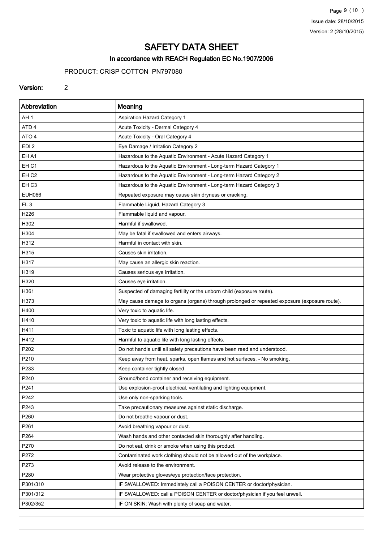Page 9 (10 ) Issue date: 28/10/2015 Version: 2 (28/10/2015)

# SAFETY DATA SHEET

# In accordance with REACH Regulation EC No.1907/2006

# PRODUCT: CRISP COTTON PN797080

#### Version: 2

| Abbreviation     | Meaning                                                                                      |
|------------------|----------------------------------------------------------------------------------------------|
| AH <sub>1</sub>  | Aspiration Hazard Category 1                                                                 |
| ATD <sub>4</sub> | Acute Toxicity - Dermal Category 4                                                           |
| ATO 4            | Acute Toxicity - Oral Category 4                                                             |
| EDI <sub>2</sub> | Eye Damage / Irritation Category 2                                                           |
| EH A1            | Hazardous to the Aquatic Environment - Acute Hazard Category 1                               |
| EH <sub>C1</sub> | Hazardous to the Aquatic Environment - Long-term Hazard Category 1                           |
| EH <sub>C2</sub> | Hazardous to the Aquatic Environment - Long-term Hazard Category 2                           |
| EH <sub>C3</sub> | Hazardous to the Aquatic Environment - Long-term Hazard Category 3                           |
| <b>EUH066</b>    | Repeated exposure may cause skin dryness or cracking.                                        |
| FL <sub>3</sub>  | Flammable Liquid, Hazard Category 3                                                          |
| H226             | Flammable liquid and vapour.                                                                 |
| H302             | Harmful if swallowed.                                                                        |
| H304             | May be fatal if swallowed and enters airways.                                                |
| H312             | Harmful in contact with skin.                                                                |
| H315             | Causes skin irritation.                                                                      |
| H317             | May cause an allergic skin reaction.                                                         |
| H319             | Causes serious eye irritation.                                                               |
| H320             | Causes eye irritation.                                                                       |
| H361             | Suspected of damaging fertility or the unborn child (exposure route).                        |
| H373             | May cause damage to organs (organs) through prolonged or repeated exposure (exposure route). |
| H400             | Very toxic to aquatic life.                                                                  |
| H410             | Very toxic to aquatic life with long lasting effects.                                        |
| H411             | Toxic to aquatic life with long lasting effects.                                             |
| H412             | Harmful to aquatic life with long lasting effects.                                           |
| P202             | Do not handle until all safety precautions have been read and understood.                    |
| P210             | Keep away from heat, sparks, open flames and hot surfaces. - No smoking.                     |
| P233             | Keep container tightly closed.                                                               |
| P240             | Ground/bond container and receiving equipment.                                               |
| P241             | Use explosion-proof electrical, ventilating and lighting equipment.                          |
| P242             | Use only non-sparking tools.                                                                 |
| P243             | Take precautionary measures against static discharge.                                        |
| P260             | Do not breathe vapour or dust.                                                               |
| P261             | Avoid breathing vapour or dust.                                                              |
| P264             | Wash hands and other contacted skin thoroughly after handling.                               |
| P270             | Do not eat, drink or smoke when using this product.                                          |
| P272             | Contaminated work clothing should not be allowed out of the workplace.                       |
| P273             | Avoid release to the environment.                                                            |
| P280             | Wear protective gloves/eye protection/face protection.                                       |
| P301/310         | IF SWALLOWED: Immediately call a POISON CENTER or doctor/physician.                          |
| P301/312         | IF SWALLOWED: call a POISON CENTER or doctor/physician if you feel unwell.                   |
| P302/352         | IF ON SKIN: Wash with plenty of soap and water.                                              |